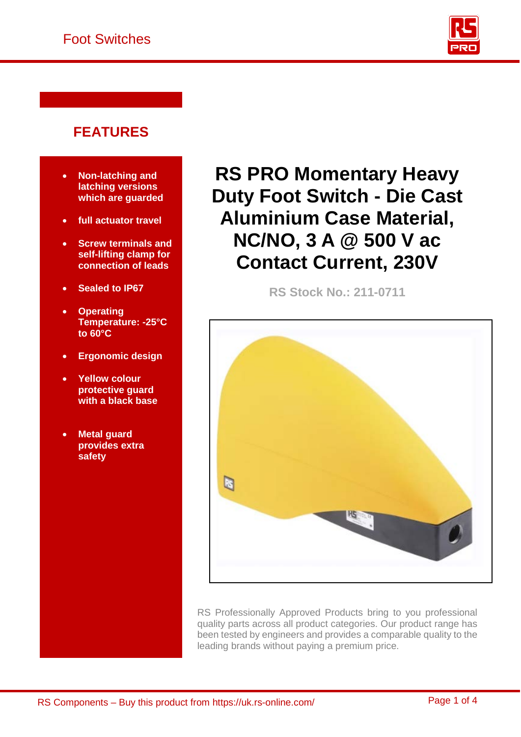

## **FEATURES**

- **Non-latching and latching versions which are guarded**
- **full actuator travel**
- **Screw terminals and self-lifting clamp for connection of leads**
- **Sealed to IP67**
- **Operating Temperature: -25°C to 60°C**
- **Ergonomic design**
- **Yellow colour protective guard with a black base**
- **Metal guard provides extra safety**

**RS PRO Momentary Heavy Duty Foot Switch - Die Cast Aluminium Case Material, NC/NO, 3 A @ 500 V ac Contact Current, 230V**

**RS Stock No.: 211-0711** 



RS Professionally Approved Products bring to you professional quality parts across all product categories. Our product range has been tested by engineers and provides a comparable quality to the leading brands without paying a premium price.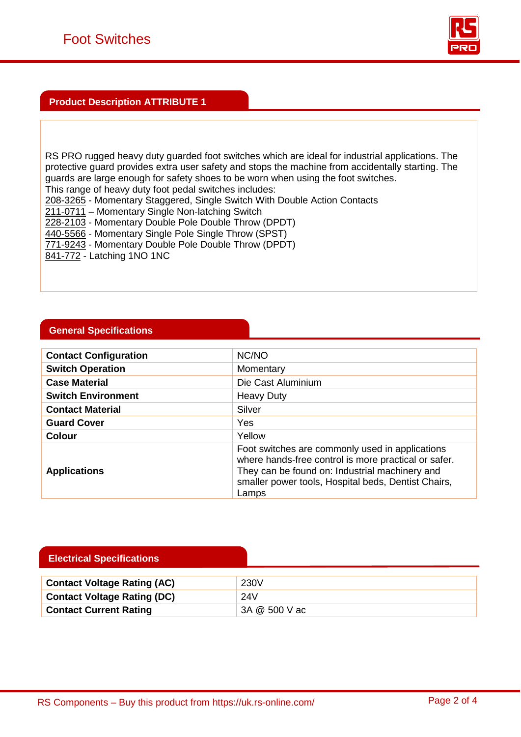

### **Product Description ATTRIBUTE 1**

RS PRO rugged heavy duty guarded foot switches which are ideal for industrial applications. The protective guard provides extra user safety and stops the machine from accidentally starting. The guards are large enough for safety shoes to be worn when using the foot switches. This range of heavy duty foot pedal switches includes:

[208-3265](https://uk.rs-online.com/web/p/products/2083265) - Momentary Staggered, Single Switch With Double Action Contacts

[211-0711](https://uk.rs-online.com/web/p/products/2110711) – Momentary Single Non-latching Switch

[228-2103](https://uk.rs-online.com/web/p/products/2282103) - Momentary Double Pole Double Throw (DPDT)

[440-5566](https://uk.rs-online.com/web/p/products/4405566) - Momentary Single Pole Single Throw (SPST)

[771-9243](https://uk.rs-online.com/web/p/products/7719243) - Momentary Double Pole Double Throw (DPDT)

[841-772](https://uk.rs-online.com/web/p/products/841772) - Latching 1NO 1NC

#### **General Specifications**

| <b>Contact Configuration</b> | NC/NO                                                                                                                                                                                                                     |
|------------------------------|---------------------------------------------------------------------------------------------------------------------------------------------------------------------------------------------------------------------------|
| <b>Switch Operation</b>      | Momentary                                                                                                                                                                                                                 |
| <b>Case Material</b>         | Die Cast Aluminium                                                                                                                                                                                                        |
| <b>Switch Environment</b>    | <b>Heavy Duty</b>                                                                                                                                                                                                         |
| <b>Contact Material</b>      | Silver                                                                                                                                                                                                                    |
| <b>Guard Cover</b>           | Yes                                                                                                                                                                                                                       |
| <b>Colour</b>                | Yellow                                                                                                                                                                                                                    |
| <b>Applications</b>          | Foot switches are commonly used in applications<br>where hands-free control is more practical or safer.<br>They can be found on: Industrial machinery and<br>smaller power tools, Hospital beds, Dentist Chairs,<br>Lamps |

#### **Electrical Specifications**

| <b>Contact Voltage Rating (AC)</b> | 230V          |
|------------------------------------|---------------|
| <b>Contact Voltage Rating (DC)</b> | 24V           |
| <b>Contact Current Rating</b>      | 3A @ 500 V ac |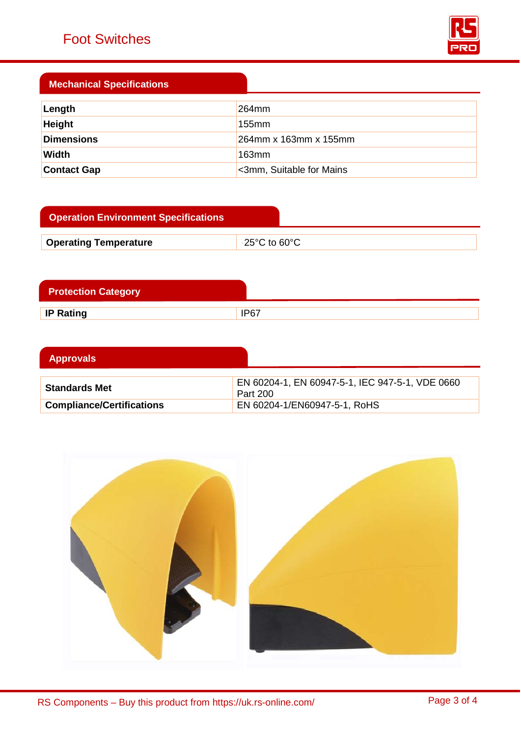# Foot Switches



### **Mechanical Specifications**

| Length             | $264$ mm                 |
|--------------------|--------------------------|
| <b>Height</b>      | 155mm                    |
| <b>Dimensions</b>  | 264mm x 163mm x 155mm    |
| Width              | $163$ mm                 |
| <b>Contact Gap</b> | <3mm, Suitable for Mains |

| <b>Operation Environment Specifications</b> |                              |
|---------------------------------------------|------------------------------|
| <b>Operating Temperature</b>                | $\overline{ }$ -25°C to 60°C |

| <b>Protection Category</b> |      |
|----------------------------|------|
| <b>IP Rating</b>           | IP67 |

| <b>Approvals</b>                 |                                                             |
|----------------------------------|-------------------------------------------------------------|
| <b>Standards Met</b>             | EN 60204-1, EN 60947-5-1, IEC 947-5-1, VDE 0660<br>Part 200 |
| <b>Compliance/Certifications</b> | EN 60204-1/EN60947-5-1, RoHS                                |